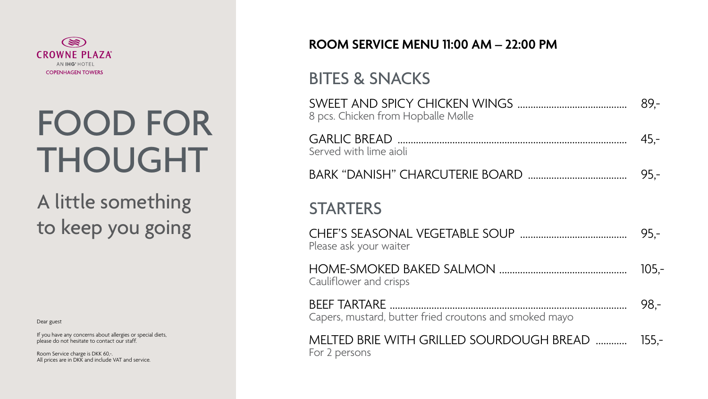

# FOOD FOR THOUGHT

# A little something to keep you going

Dear guest

If you have any concerns about allergies or special diets, please do not hesitate to contact our staff.

Room Service charge is DKK 60,-. All prices are in DKK and include VAT and service.

SWEI 8 pcs.

GARI Server

**BARK** 

**STA** 

**CHEF** Please

HON Caulif

**BEEF** Caper

MELT For  $2 \beta$ 

#### ROOM SERVICE MENU 11:00 AM - 22:00 PM

### **BITES & SNACKS**

| . Chicken from Hopballe Mølle                          | 89,-   |
|--------------------------------------------------------|--------|
| ed with lime aioli                                     |        |
|                                                        | $95 -$ |
| <b>RTERS</b>                                           |        |
| e ask your waiter                                      |        |
| flower and crisps                                      | 105,   |
| rs, mustard, butter fried croutons and smoked mayo     | 98,-   |
| TED BRIE WITH GRILLED SOURDOUGH BREAD  155,<br>persons |        |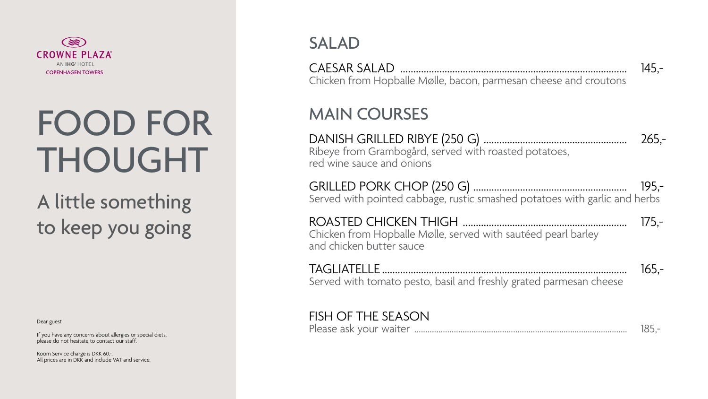### SALAD

CAESAR SALAD ....................................................................................... 145,- Chicken from Hopballe Mølle, bacon, parmesan cheese and croutons

### MAIN COURSES

DANISH GRILLED RIBYE (250 G) ....................................................... 265,- Ribeye from Grambogård, served with roasted potatoes, red wine sauce and onions

GRILLED PORK CHOP (250 G) ........................................................... 195,- Served with pointed cabbage, rustic smashed potatoes with garlic and herbs

ROASTED CHICKEN THIGH ............................................................... 175,- Chicken from Hopballe Mølle, served with sautéed pearl barley and chicken butter sauce

TAGLIATELLE .............................................................................................. 165,- Served with tomato pesto, basil and freshly grated parmesan cheese



#### FISH OF THE SEASON

Please ask your waiter ................................................................................................. 185,-



# FOOD FOR THOUGHT

# A little something to keep you going

Dear guest

If you have any concerns about allergies or special diets, please do not hesitate to contact our staff.

Room Service charge is DKK 60,-. All prices are in DKK and include VAT and service.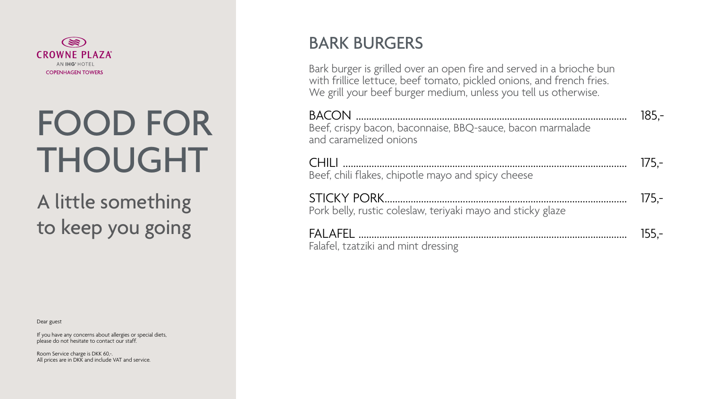### BARK BURGERS

Bark burger is grilled over an open fire and served in a brioche bun with frillice lettuce, beef tomato, pickled onions, and french fries. We grill your beef burger medium, unless you tell us otherwise.

and ca

| Beef, crispy bacon, baconnaise, BBQ-sauce, bacon marmalade<br>and caramelized onions | 185.-   |
|--------------------------------------------------------------------------------------|---------|
| Beef, chili flakes, chipotle mayo and spicy cheese                                   | $175 -$ |
| Pork belly, rustic coleslaw, teriyaki mayo and sticky glaze                          | $175 -$ |
| Falafel, tzatziki and mint dressing                                                  | $155 -$ |



# FOOD FOR THOUGHT

# A little something to keep you going

Dear guest

If you have any concerns about allergies or special diets, please do not hesitate to contact our staff.

Room Service charge is DKK 60,-. All prices are in DKK and include VAT and service.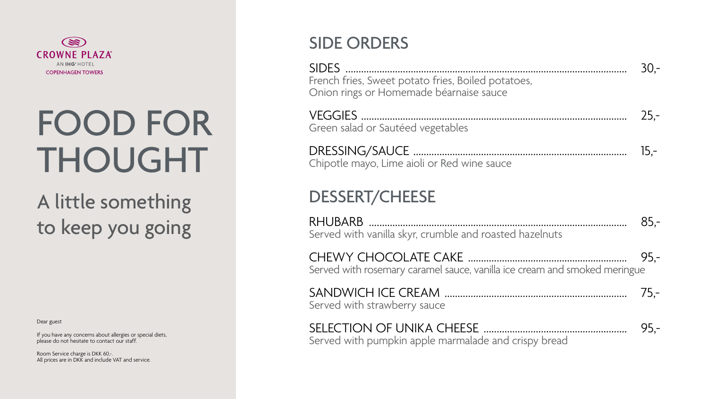

# FOOD FOR THOUGHT

# A little something to keep you going

Dear guest

If you have any concerns about allergies or special diets, please do not hesitate to contact our staff.

Room Service charge is DKK 60,-. All prices are in DKK and include VAT and service.

SIDE: Frencl Onior

**VEG** Greer

**DRES** Chipc

### **DES**

**RHU** Server

CHE<sup></sup> Server

SANI Server

**SELE** Server

## **SIDE ORDERS**

| h fries, Sweet potato fries, Boiled potatoes,<br>n rings or Homemade béarnaise sauce | $30 -$ |
|--------------------------------------------------------------------------------------|--------|
| n salad or Sautéed vegetables                                                        | $25 -$ |
| otle mayo, Lime aioli or Red wine sauce                                              | $15,-$ |
| SSERT/CHEESE                                                                         |        |
| ed with vanilla skyr, crumble and roasted hazelnuts                                  |        |
| d with rosemary caramel sauce, vanilla ice cream and smoked meringue                 | $95 -$ |
| ed with strawberry sauce                                                             |        |
| ed with pumpkin apple marmalade and crispy bread                                     | $95 -$ |